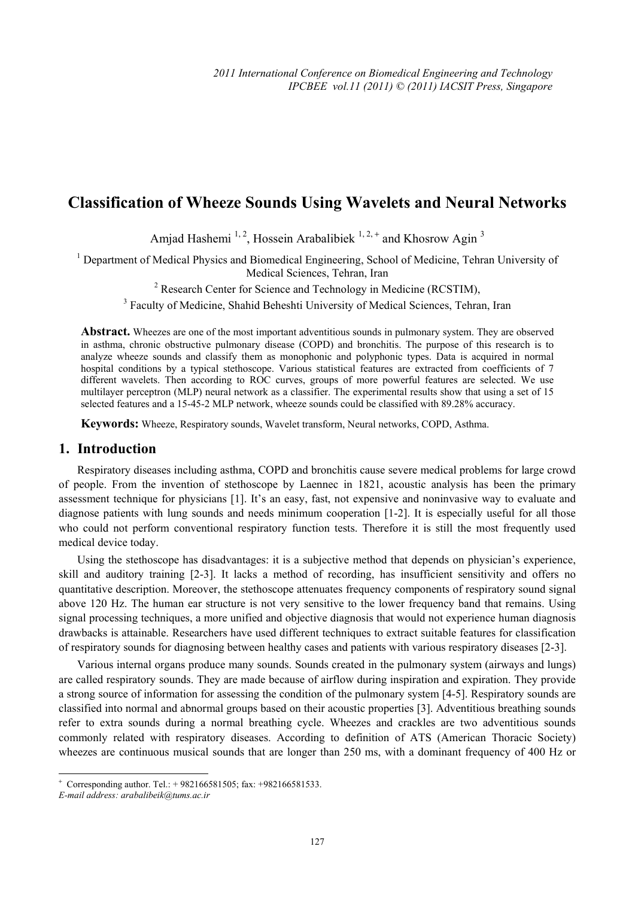# **Classification of Wheeze Sounds Using Wavelets and Neural Networks**

Amjad Hashemi<sup>1, 2</sup>, Hossein Arabalibiek  $1, 2, +$  and Khosrow Agin<sup>3</sup>

<sup>1</sup> Department of Medical Physics and Biomedical Engineering, School of Medicine, Tehran University of Medical Sciences, Tehran, Iran

<sup>2</sup> Research Center for Science and Technology in Medicine (RCSTIM),

<sup>3</sup> Faculty of Medicine, Shahid Beheshti University of Medical Sciences, Tehran, Iran

**Abstract.** Wheezes are one of the most important adventitious sounds in pulmonary system. They are observed in asthma, chronic obstructive pulmonary disease (COPD) and bronchitis. The purpose of this research is to analyze wheeze sounds and classify them as monophonic and polyphonic types. Data is acquired in normal hospital conditions by a typical stethoscope. Various statistical features are extracted from coefficients of 7 different wavelets. Then according to ROC curves, groups of more powerful features are selected. We use multilayer perceptron (MLP) neural network as a classifier. The experimental results show that using a set of 15 selected features and a 15-45-2 MLP network, wheeze sounds could be classified with 89.28% accuracy.

**Keywords:** Wheeze, Respiratory sounds, Wavelet transform, Neural networks, COPD, Asthma.

## **1. Introduction**

Respiratory diseases including asthma, COPD and bronchitis cause severe medical problems for large crowd of people. From the invention of stethoscope by Laennec in 1821, acoustic analysis has been the primary assessment technique for physicians [1]. It's an easy, fast, not expensive and noninvasive way to evaluate and diagnose patients with lung sounds and needs minimum cooperation [1-2]. It is especially useful for all those who could not perform conventional respiratory function tests. Therefore it is still the most frequently used medical device today.

Using the stethoscope has disadvantages: it is a subjective method that depends on physician's experience, skill and auditory training [2-3]. It lacks a method of recording, has insufficient sensitivity and offers no quantitative description. Moreover, the stethoscope attenuates frequency components of respiratory sound signal above 120 Hz. The human ear structure is not very sensitive to the lower frequency band that remains. Using signal processing techniques, a more unified and objective diagnosis that would not experience human diagnosis drawbacks is attainable. Researchers have used different techniques to extract suitable features for classification of respiratory sounds for diagnosing between healthy cases and patients with various respiratory diseases [2-3].

Various internal organs produce many sounds. Sounds created in the pulmonary system (airways and lungs) are called respiratory sounds. They are made because of airflow during inspiration and expiration. They provide a strong source of information for assessing the condition of the pulmonary system [4-5]. Respiratory sounds are classified into normal and abnormal groups based on their acoustic properties [3]. Adventitious breathing sounds refer to extra sounds during a normal breathing cycle. Wheezes and crackles are two adventitious sounds commonly related with respiratory diseases. According to definition of ATS (American Thoracic Society) wheezes are continuous musical sounds that are longer than 250 ms, with a dominant frequency of 400 Hz or

1

 $+$  Corresponding author. Tel.:  $+$  982166581505; fax:  $+$ 982166581533.

*E-mail address: arabalibeik@tums.ac.ir*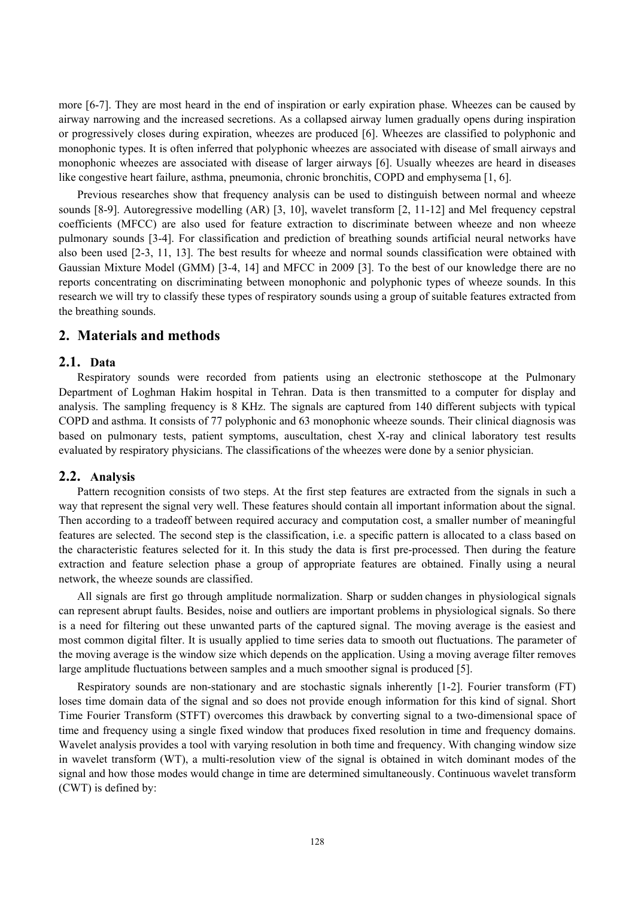more [6-7]. They are most heard in the end of inspiration or early expiration phase. Wheezes can be caused by airway narrowing and the increased secretions. As a collapsed airway lumen gradually opens during inspiration or progressively closes during expiration, wheezes are produced [6]. Wheezes are classified to polyphonic and monophonic types. It is often inferred that polyphonic wheezes are associated with disease of small airways and monophonic wheezes are associated with disease of larger airways [6]. Usually wheezes are heard in diseases like congestive heart failure, asthma, pneumonia, chronic bronchitis, COPD and emphysema [1, 6].

Previous researches show that frequency analysis can be used to distinguish between normal and wheeze sounds [8-9]. Autoregressive modelling (AR) [3, 10], wavelet transform [2, 11-12] and Mel frequency cepstral coefficients (MFCC) are also used for feature extraction to discriminate between wheeze and non wheeze pulmonary sounds [3-4]. For classification and prediction of breathing sounds artificial neural networks have also been used [2-3, 11, 13]. The best results for wheeze and normal sounds classification were obtained with Gaussian Mixture Model (GMM) [3-4, 14] and MFCC in 2009 [3]. To the best of our knowledge there are no reports concentrating on discriminating between monophonic and polyphonic types of wheeze sounds. In this research we will try to classify these types of respiratory sounds using a group of suitable features extracted from the breathing sounds.

## **2. Materials and methods**

#### **2.1. Data**

Respiratory sounds were recorded from patients using an electronic stethoscope at the Pulmonary Department of Loghman Hakim hospital in Tehran. Data is then transmitted to a computer for display and analysis. The sampling frequency is 8 KHz. The signals are captured from 140 different subjects with typical COPD and asthma. It consists of 77 polyphonic and 63 monophonic wheeze sounds. Their clinical diagnosis was based on pulmonary tests, patient symptoms, auscultation, chest X-ray and clinical laboratory test results evaluated by respiratory physicians. The classifications of the wheezes were done by a senior physician.

#### **2.2. Analysis**

Pattern recognition consists of two steps. At the first step features are extracted from the signals in such a way that represent the signal very well. These features should contain all important information about the signal. Then according to a tradeoff between required accuracy and computation cost, a smaller number of meaningful features are selected. The second step is the classification, i.e. a specific pattern is allocated to a class based on the characteristic features selected for it. In this study the data is first pre-processed. Then during the feature extraction and feature selection phase a group of appropriate features are obtained. Finally using a neural network, the wheeze sounds are classified.

All signals are first go through amplitude normalization. Sharp or sudden changes in physiological signals can represent abrupt faults. Besides, noise and outliers are important problems in physiological signals. So there is a need for filtering out these unwanted parts of the captured signal. The moving average is the easiest and most common digital filter. It is usually applied to time series data to smooth out fluctuations. The parameter of the moving average is the window size which depends on the application. Using a moving average filter removes large amplitude fluctuations between samples and a much smoother signal is produced [5].

Respiratory sounds are non-stationary and are stochastic signals inherently [1-2]. Fourier transform (FT) loses time domain data of the signal and so does not provide enough information for this kind of signal. Short Time Fourier Transform (STFT) overcomes this drawback by converting signal to a two-dimensional space of time and frequency using a single fixed window that produces fixed resolution in time and frequency domains. Wavelet analysis provides a tool with varying resolution in both time and frequency. With changing window size in wavelet transform (WT), a multi-resolution view of the signal is obtained in witch dominant modes of the signal and how those modes would change in time are determined simultaneously. Continuous wavelet transform (CWT) is defined by: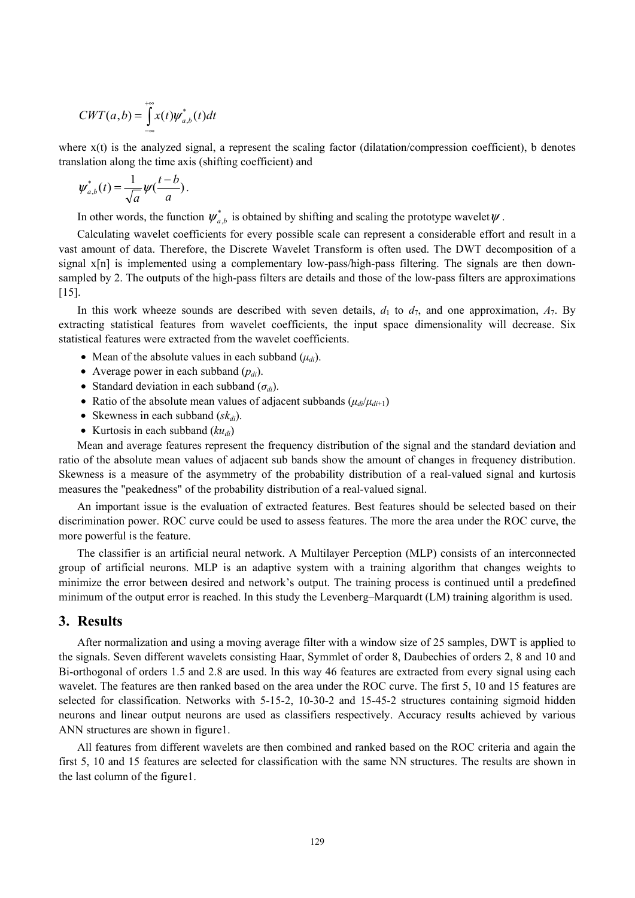$$
CWT(a,b) = \int_{-\infty}^{+\infty} x(t) \psi_{a,b}^*(t) dt
$$

where x(t) is the analyzed signal, a represent the scaling factor (dilatation/compression coefficient), b denotes translation along the time axis (shifting coefficient) and

$$
\psi^*_{a,b}(t) = \frac{1}{\sqrt{a}} \psi(\frac{t-b}{a}).
$$

In other words, the function  $\psi_{ab}^*$  is obtained by shifting and scaling the prototype wavelet  $\psi$ .

Calculating wavelet coefficients for every possible scale can represent a considerable effort and result in a vast amount of data. Therefore, the Discrete Wavelet Transform is often used. The DWT decomposition of a signal x[n] is implemented using a complementary low-pass/high-pass filtering. The signals are then downsampled by 2. The outputs of the high-pass filters are details and those of the low-pass filters are approximations [15].

In this work wheeze sounds are described with seven details,  $d_1$  to  $d_7$ , and one approximation,  $A_7$ . By extracting statistical features from wavelet coefficients, the input space dimensionality will decrease. Six statistical features were extracted from the wavelet coefficients.

- Mean of the absolute values in each subband  $(\mu_{di})$ .
- Average power in each subband  $(p_{di})$ .
- Standard deviation in each subband  $(\sigma_{di})$ .
- Ratio of the absolute mean values of adjacent subbands  $(\mu_{di} / \mu_{di+1})$
- Skewness in each subband  $(sk_d)$ .
- Kurtosis in each subband  $(ku_{di})$

Mean and average features represent the frequency distribution of the signal and the standard deviation and ratio of the absolute mean values of adjacent sub bands show the amount of changes in frequency distribution. Skewness is a measure of the asymmetry of the probability distribution of a real-valued signal and kurtosis measures the "peakedness" of the probability distribution of a real-valued signal.

An important issue is the evaluation of extracted features. Best features should be selected based on their discrimination power. ROC curve could be used to assess features. The more the area under the ROC curve, the more powerful is the feature.

The classifier is an artificial neural network. A Multilayer Perception (MLP) consists of an interconnected group of artificial neurons. MLP is an adaptive system with a training algorithm that changes weights to minimize the error between desired and network's output. The training process is continued until a predefined minimum of the output error is reached. In this study the Levenberg–Marquardt (LM) training algorithm is used.

### **3. Results**

After normalization and using a moving average filter with a window size of 25 samples, DWT is applied to the signals. Seven different wavelets consisting Haar, Symmlet of order 8, Daubechies of orders 2, 8 and 10 and Bi-orthogonal of orders 1.5 and 2.8 are used. In this way 46 features are extracted from every signal using each wavelet. The features are then ranked based on the area under the ROC curve. The first 5, 10 and 15 features are selected for classification. Networks with 5-15-2, 10-30-2 and 15-45-2 structures containing sigmoid hidden neurons and linear output neurons are used as classifiers respectively. Accuracy results achieved by various ANN structures are shown in figure1.

All features from different wavelets are then combined and ranked based on the ROC criteria and again the first 5, 10 and 15 features are selected for classification with the same NN structures. The results are shown in the last column of the figure1.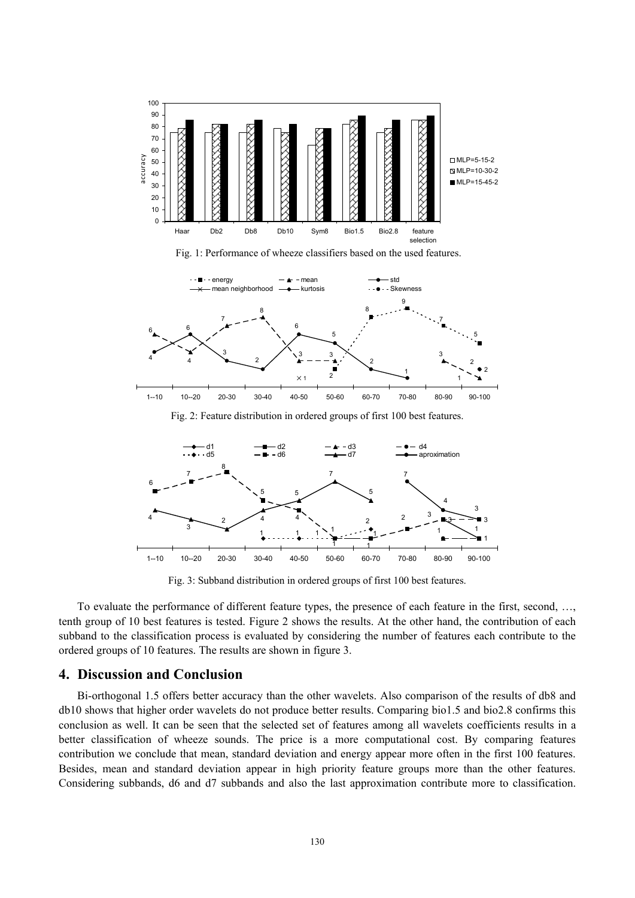

Fig. 1: Performance of wheeze classifiers based on the used features.



Fig. 2: Feature distribution in ordered groups of first 100 best features.



Fig. 3: Subband distribution in ordered groups of first 100 best features.

To evaluate the performance of different feature types, the presence of each feature in the first, second, …, tenth group of 10 best features is tested. Figure 2 shows the results. At the other hand, the contribution of each subband to the classification process is evaluated by considering the number of features each contribute to the ordered groups of 10 features. The results are shown in figure 3.

## **4. Discussion and Conclusion**

Bi-orthogonal 1.5 offers better accuracy than the other wavelets. Also comparison of the results of db8 and db10 shows that higher order wavelets do not produce better results. Comparing bio1.5 and bio2.8 confirms this conclusion as well. It can be seen that the selected set of features among all wavelets coefficients results in a better classification of wheeze sounds. The price is a more computational cost. By comparing features contribution we conclude that mean, standard deviation and energy appear more often in the first 100 features. Besides, mean and standard deviation appear in high priority feature groups more than the other features. Considering subbands, d6 and d7 subbands and also the last approximation contribute more to classification.